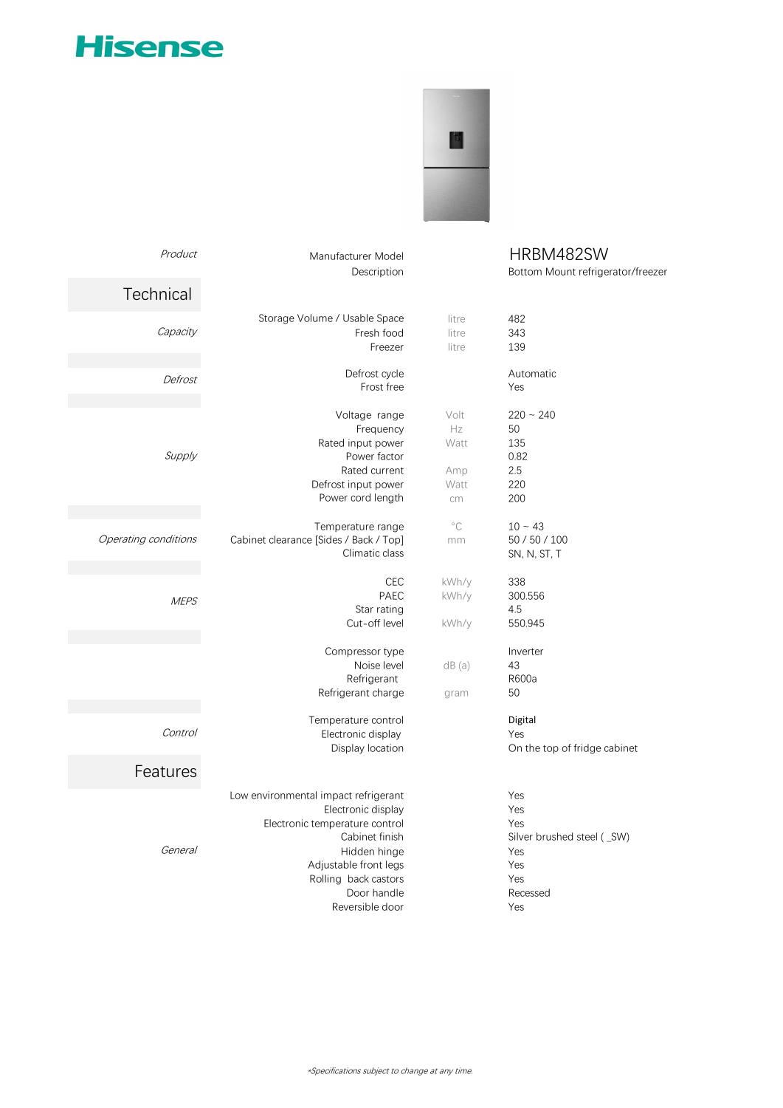## **Hisense**



| Product              | Manufacturer Model<br>Description      |                | HRBM482SW<br>Bottom Mount refrigerator/freezer |  |
|----------------------|----------------------------------------|----------------|------------------------------------------------|--|
| Technical            |                                        |                |                                                |  |
| Capacity             | Storage Volume / Usable Space          | litre          | 482                                            |  |
|                      | Fresh food<br>Freezer                  | litre<br>litre | 343<br>139                                     |  |
| Defrost              | Defrost cycle                          |                | Automatic                                      |  |
|                      | Frost free                             |                | Yes                                            |  |
|                      | Voltage range                          | Volt           | $220 - 240$                                    |  |
|                      | Frequency                              | Hz             | 50                                             |  |
| Supply               | Rated input power                      | Watt           | 135                                            |  |
|                      | Power factor<br>Rated current          |                | 0.82<br>2.5                                    |  |
|                      | Defrost input power                    | Amp<br>Watt    | 220                                            |  |
|                      | Power cord length                      | cm             | 200                                            |  |
|                      |                                        |                |                                                |  |
|                      | Temperature range                      | $^{\circ}$ C   | $10 - 43$                                      |  |
| Operating conditions | Cabinet clearance [Sides / Back / Top] | mm             | 50 / 50 / 100                                  |  |
|                      | Climatic class                         |                | SN, N, ST, T                                   |  |
|                      | <b>CEC</b>                             | kWh/y          | 338                                            |  |
| <b>MEPS</b>          | PAEC                                   | kWh/y          | 300.556                                        |  |
|                      | Star rating                            |                | 4.5                                            |  |
|                      | Cut-off level                          | kWh/y          | 550.945                                        |  |
|                      | Compressor type                        |                | Inverter                                       |  |
|                      | Noise level                            | dB(a)          | 43                                             |  |
|                      | Refrigerant                            |                | R600a                                          |  |
|                      | Refrigerant charge                     | gram           | 50                                             |  |
|                      | Temperature control                    |                | Digital                                        |  |
| <b>Control</b>       | Electronic display                     |                | Yes                                            |  |
|                      | Display location                       |                | On the top of fridge cabinet                   |  |
| Features             |                                        |                |                                                |  |
|                      | Low environmental impact refrigerant   |                | Yes                                            |  |
|                      | Electronic display                     |                | Yes                                            |  |
|                      | Electronic temperature control         |                | Yes                                            |  |
|                      | Cabinet finish                         |                | Silver brushed steel (SW)                      |  |
| <b>General</b>       | Hidden hinge                           |                | Yes                                            |  |
|                      | Adjustable front legs                  |                | Yes                                            |  |
|                      | Rolling back castors                   |                | Yes                                            |  |
|                      | Door handle                            |                | Recessed                                       |  |

Reversible door Yes